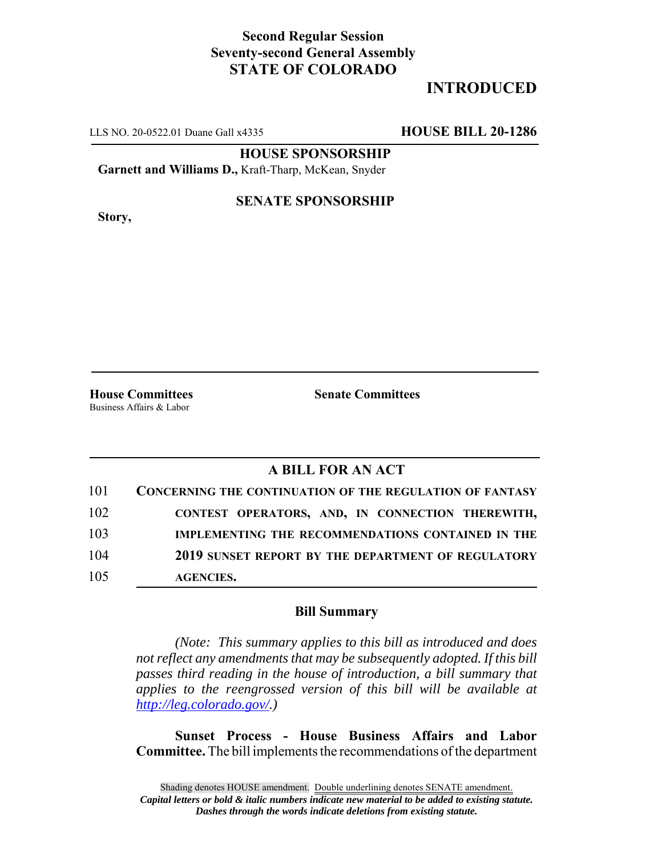# **Second Regular Session Seventy-second General Assembly STATE OF COLORADO**

# **INTRODUCED**

LLS NO. 20-0522.01 Duane Gall x4335 **HOUSE BILL 20-1286**

**HOUSE SPONSORSHIP**

**Garnett and Williams D.,** Kraft-Tharp, McKean, Snyder

**Story,**

#### **SENATE SPONSORSHIP**

Business Affairs & Labor

**House Committees Senate Committees**

### **A BILL FOR AN ACT**

| 101 | <b>CONCERNING THE CONTINUATION OF THE REGULATION OF FANTASY</b> |
|-----|-----------------------------------------------------------------|
| 102 | CONTEST OPERATORS, AND, IN CONNECTION THEREWITH,                |
| 103 | IMPLEMENTING THE RECOMMENDATIONS CONTAINED IN THE               |
| 104 | 2019 SUNSET REPORT BY THE DEPARTMENT OF REGULATORY              |
| 105 | <b>AGENCIES.</b>                                                |

#### **Bill Summary**

*(Note: This summary applies to this bill as introduced and does not reflect any amendments that may be subsequently adopted. If this bill passes third reading in the house of introduction, a bill summary that applies to the reengrossed version of this bill will be available at http://leg.colorado.gov/.)*

**Sunset Process - House Business Affairs and Labor Committee.** The bill implements the recommendations of the department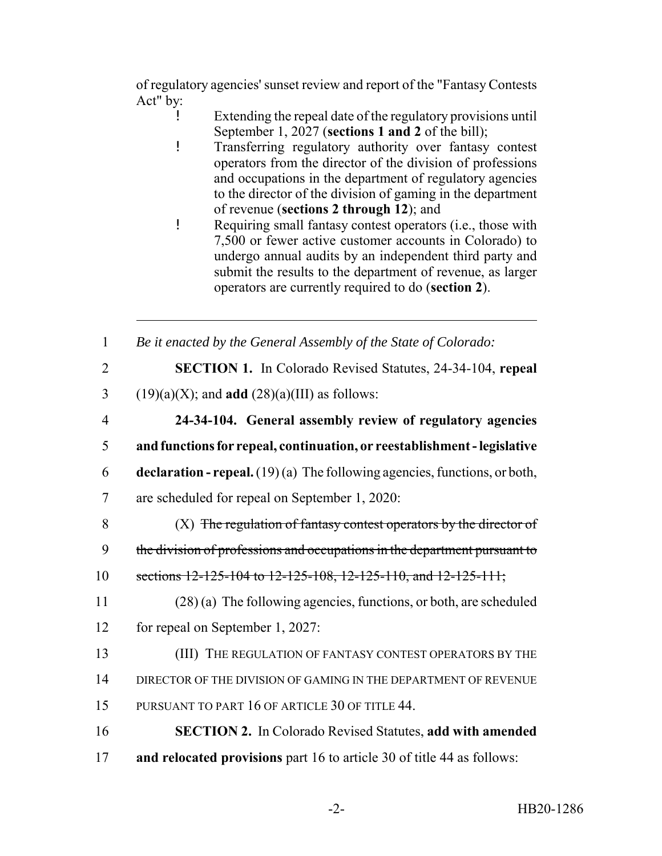of regulatory agencies' sunset review and report of the "Fantasy Contests Act" by:

- ! Extending the repeal date of the regulatory provisions until September 1, 2027 (**sections 1 and 2** of the bill);
- ! Transferring regulatory authority over fantasy contest operators from the director of the division of professions and occupations in the department of regulatory agencies to the director of the division of gaming in the department of revenue (**sections 2 through 12**); and
- ! Requiring small fantasy contest operators (i.e., those with 7,500 or fewer active customer accounts in Colorado) to undergo annual audits by an independent third party and submit the results to the department of revenue, as larger operators are currently required to do (**section 2**).

1 *Be it enacted by the General Assembly of the State of Colorado:*

2 **SECTION 1.** In Colorado Revised Statutes, 24-34-104, **repeal**

- 3 (19)(a)(X); and **add**  $(28)(a)(III)$  as follows:
- 4 **24-34-104. General assembly review of regulatory agencies** 5 **and functions for repeal, continuation, or reestablishment - legislative**
- 6 **declaration repeal.** (19) (a) The following agencies, functions, or both,
- 7 are scheduled for repeal on September 1, 2020:
- 8  $(X)$  The regulation of fantasy contest operators by the director of 9 the division of professions and occupations in the department pursuant to
- 10 sections 12-125-104 to 12-125-108, 12-125-110, and 12-125-111;
- 11 (28) (a) The following agencies, functions, or both, are scheduled 12 for repeal on September 1, 2027:
- 13 (III) THE REGULATION OF FANTASY CONTEST OPERATORS BY THE 14 DIRECTOR OF THE DIVISION OF GAMING IN THE DEPARTMENT OF REVENUE 15 PURSUANT TO PART 16 OF ARTICLE 30 OF TITLE 44.
- 16 **SECTION 2.** In Colorado Revised Statutes, **add with amended** 17 **and relocated provisions** part 16 to article 30 of title 44 as follows: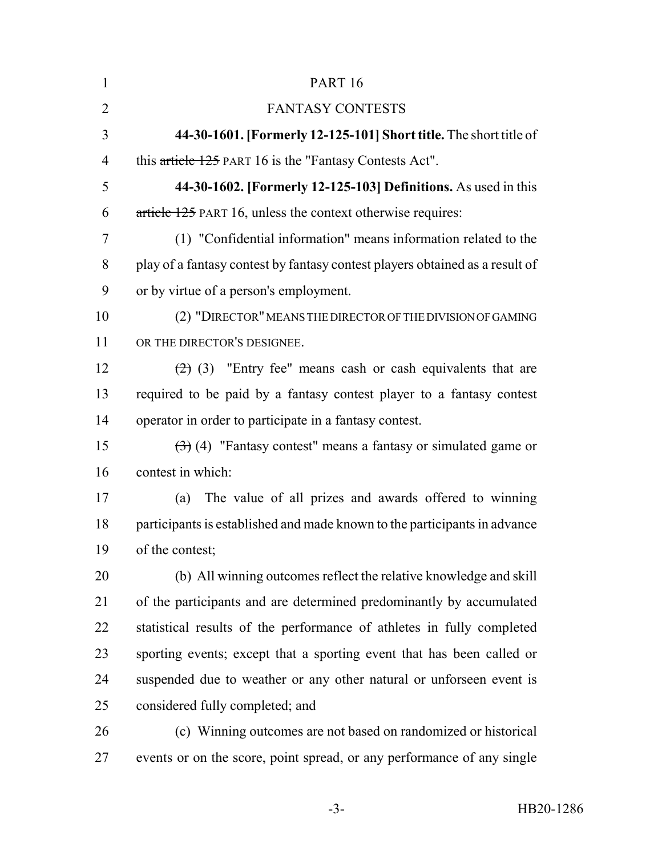| $\mathbf{1}$   | <b>PART 16</b>                                                                        |
|----------------|---------------------------------------------------------------------------------------|
| $\overline{2}$ | <b>FANTASY CONTESTS</b>                                                               |
| 3              | 44-30-1601. [Formerly 12-125-101] Short title. The short title of                     |
| $\overline{4}$ | this article 125 PART 16 is the "Fantasy Contests Act".                               |
| 5              | 44-30-1602. [Formerly 12-125-103] Definitions. As used in this                        |
| 6              | article 125 PART 16, unless the context otherwise requires:                           |
| $\tau$         | (1) "Confidential information" means information related to the                       |
| 8              | play of a fantasy contest by fantasy contest players obtained as a result of          |
| 9              | or by virtue of a person's employment.                                                |
| 10             | (2) "DIRECTOR" MEANS THE DIRECTOR OF THE DIVISION OF GAMING                           |
| 11             | OR THE DIRECTOR'S DESIGNEE.                                                           |
| 12             | $(2)$ (3) "Entry fee" means cash or cash equivalents that are                         |
| 13             | required to be paid by a fantasy contest player to a fantasy contest                  |
| 14             | operator in order to participate in a fantasy contest.                                |
| 15             | $\left(\frac{1}{2}\right)$ (4) "Fantasy contest" means a fantasy or simulated game or |
| 16             | contest in which:                                                                     |
| 17             | The value of all prizes and awards offered to winning<br>(a)                          |
| 18             | participants is established and made known to the participants in advance             |
| 19             | of the contest;                                                                       |
| 20             | (b) All winning outcomes reflect the relative knowledge and skill                     |
| 21             | of the participants and are determined predominantly by accumulated                   |
| 22             | statistical results of the performance of athletes in fully completed                 |
| 23             | sporting events; except that a sporting event that has been called or                 |
| 24             | suspended due to weather or any other natural or unforseen event is                   |
| 25             | considered fully completed; and                                                       |
| 26             | (c) Winning outcomes are not based on randomized or historical                        |
| 27             | events or on the score, point spread, or any performance of any single                |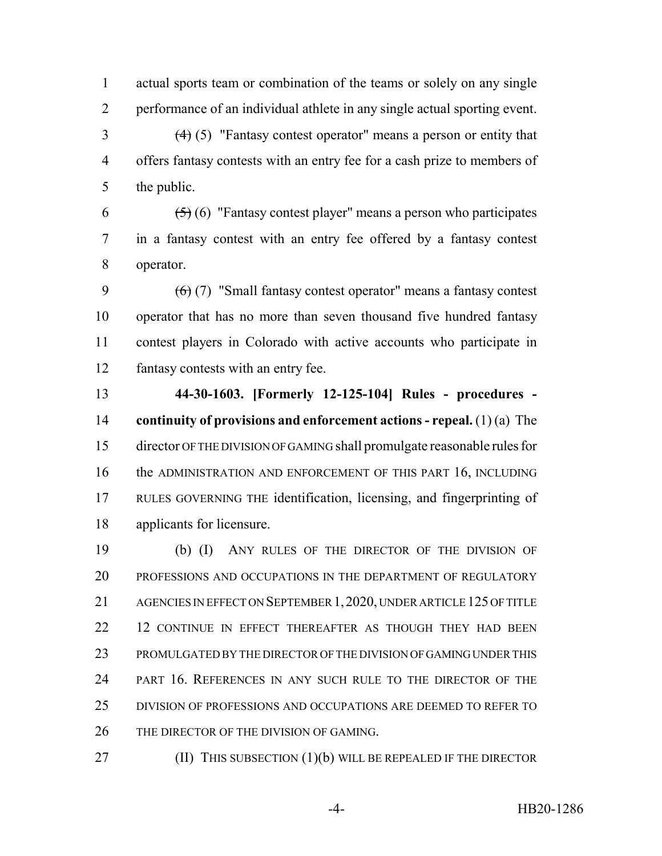actual sports team or combination of the teams or solely on any single performance of an individual athlete in any single actual sporting event.

 (4) (5) "Fantasy contest operator" means a person or entity that offers fantasy contests with an entry fee for a cash prize to members of the public.

6  $(5)(6)$  "Fantasy contest player" means a person who participates in a fantasy contest with an entry fee offered by a fantasy contest operator.

 $(6)(7)$  "Small fantasy contest operator" means a fantasy contest operator that has no more than seven thousand five hundred fantasy contest players in Colorado with active accounts who participate in fantasy contests with an entry fee.

 **44-30-1603. [Formerly 12-125-104] Rules - procedures - continuity of provisions and enforcement actions - repeal.** (1) (a) The director OF THE DIVISION OF GAMING shall promulgate reasonable rules for 16 the ADMINISTRATION AND ENFORCEMENT OF THIS PART 16, INCLUDING RULES GOVERNING THE identification, licensing, and fingerprinting of applicants for licensure.

 (b) (I) ANY RULES OF THE DIRECTOR OF THE DIVISION OF PROFESSIONS AND OCCUPATIONS IN THE DEPARTMENT OF REGULATORY 21 AGENCIES IN EFFECT ON SEPTEMBER 1, 2020, UNDER ARTICLE 125 OF TITLE 22 12 CONTINUE IN EFFECT THEREAFTER AS THOUGH THEY HAD BEEN PROMULGATED BY THE DIRECTOR OF THE DIVISION OF GAMING UNDER THIS PART 16. REFERENCES IN ANY SUCH RULE TO THE DIRECTOR OF THE DIVISION OF PROFESSIONS AND OCCUPATIONS ARE DEEMED TO REFER TO THE DIRECTOR OF THE DIVISION OF GAMING.

**(II)** THIS SUBSECTION (1)(b) WILL BE REPEALED IF THE DIRECTOR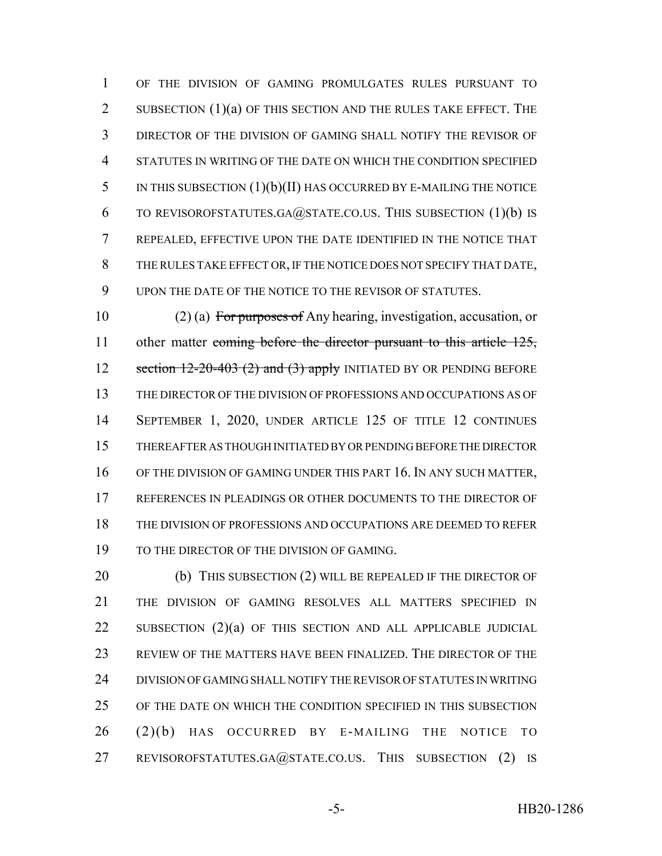OF THE DIVISION OF GAMING PROMULGATES RULES PURSUANT TO 2 SUBSECTION (1)(a) OF THIS SECTION AND THE RULES TAKE EFFECT. THE DIRECTOR OF THE DIVISION OF GAMING SHALL NOTIFY THE REVISOR OF STATUTES IN WRITING OF THE DATE ON WHICH THE CONDITION SPECIFIED IN THIS SUBSECTION (1)(b)(II) HAS OCCURRED BY E-MAILING THE NOTICE 6 TO REVISOROFSTATUTES.GA $@$ STATE.CO.US. THIS SUBSECTION  $(1)(b)$  IS REPEALED, EFFECTIVE UPON THE DATE IDENTIFIED IN THE NOTICE THAT THE RULES TAKE EFFECT OR, IF THE NOTICE DOES NOT SPECIFY THAT DATE, UPON THE DATE OF THE NOTICE TO THE REVISOR OF STATUTES.

 (2) (a) For purposes of Any hearing, investigation, accusation, or 11 other matter coming before the director pursuant to this article 125, 12 section -20-403 (2) and (3) apply INITIATED BY OR PENDING BEFORE THE DIRECTOR OF THE DIVISION OF PROFESSIONS AND OCCUPATIONS AS OF SEPTEMBER 1, 2020, UNDER ARTICLE 125 OF TITLE 12 CONTINUES THEREAFTER AS THOUGH INITIATED BY OR PENDING BEFORE THE DIRECTOR 16 OF THE DIVISION OF GAMING UNDER THIS PART 16. IN ANY SUCH MATTER, REFERENCES IN PLEADINGS OR OTHER DOCUMENTS TO THE DIRECTOR OF THE DIVISION OF PROFESSIONS AND OCCUPATIONS ARE DEEMED TO REFER TO THE DIRECTOR OF THE DIVISION OF GAMING.

20 (b) THIS SUBSECTION (2) WILL BE REPEALED IF THE DIRECTOR OF THE DIVISION OF GAMING RESOLVES ALL MATTERS SPECIFIED IN SUBSECTION (2)(a) OF THIS SECTION AND ALL APPLICABLE JUDICIAL REVIEW OF THE MATTERS HAVE BEEN FINALIZED. THE DIRECTOR OF THE DIVISION OF GAMING SHALL NOTIFY THE REVISOR OF STATUTES IN WRITING OF THE DATE ON WHICH THE CONDITION SPECIFIED IN THIS SUBSECTION (2)(b) HAS OCCURRED BY E-MAILING THE NOTICE TO 27 REVISOROFSTATUTES.GA@STATE.CO.US. THIS SUBSECTION (2) IS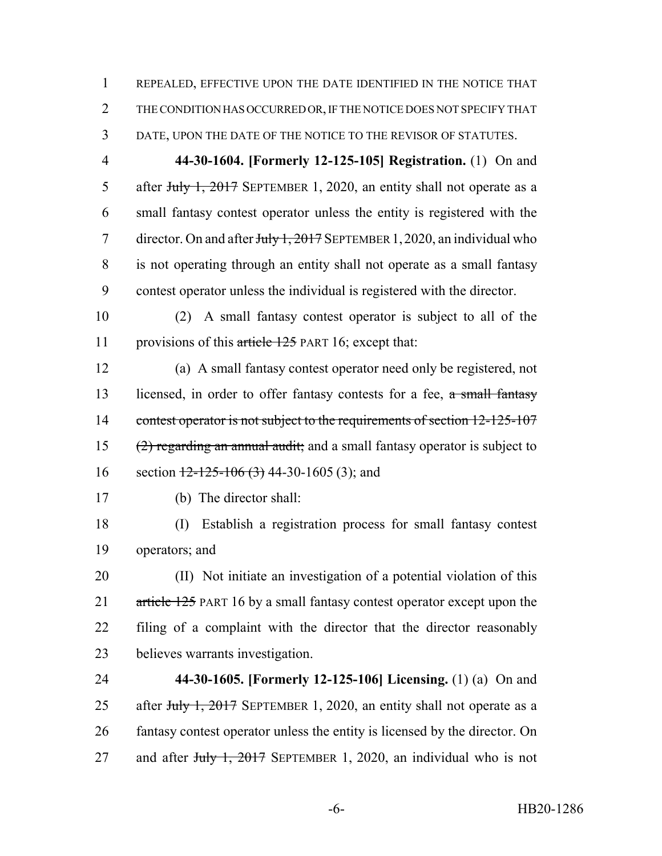REPEALED, EFFECTIVE UPON THE DATE IDENTIFIED IN THE NOTICE THAT THE CONDITION HAS OCCURRED OR, IF THE NOTICE DOES NOT SPECIFY THAT DATE, UPON THE DATE OF THE NOTICE TO THE REVISOR OF STATUTES.

 **44-30-1604. [Formerly 12-125-105] Registration.** (1) On and 5 after July 1, 2017 SEPTEMBER 1, 2020, an entity shall not operate as a small fantasy contest operator unless the entity is registered with the 7 director. On and after July 1, 2017 SEPTEMBER 1, 2020, an individual who is not operating through an entity shall not operate as a small fantasy contest operator unless the individual is registered with the director.

 (2) A small fantasy contest operator is subject to all of the 11 provisions of this article 125 PART 16; except that:

 (a) A small fantasy contest operator need only be registered, not 13 licensed, in order to offer fantasy contests for a fee, a small fantasy 14 contest operator is not subject to the requirements of section 12-125-107 (2) regarding an annual audit; and a small fantasy operator is subject to 16 section  $\frac{12-125-106(3)}{44-30-1605(3)}$ ; and

(b) The director shall:

 (I) Establish a registration process for small fantasy contest operators; and

 (II) Not initiate an investigation of a potential violation of this 21 article 125 PART 16 by a small fantasy contest operator except upon the filing of a complaint with the director that the director reasonably believes warrants investigation.

 **44-30-1605. [Formerly 12-125-106] Licensing.** (1) (a) On and 25 after July 1, 2017 SEPTEMBER 1, 2020, an entity shall not operate as a fantasy contest operator unless the entity is licensed by the director. On 27 and after July 1, 2017 SEPTEMBER 1, 2020, an individual who is not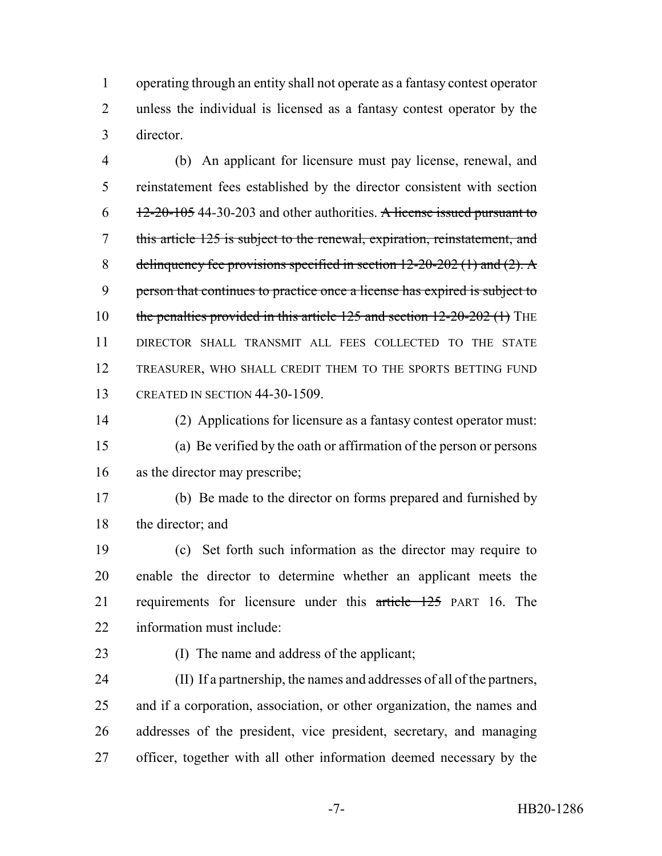operating through an entity shall not operate as a fantasy contest operator unless the individual is licensed as a fantasy contest operator by the director.

 (b) An applicant for licensure must pay license, renewal, and reinstatement fees established by the director consistent with section  $6 \frac{12-20-105}{12-20}$  44-30-203 and other authorities. A license issued pursuant to this article 125 is subject to the renewal, expiration, reinstatement, and 8 delinquency fee provisions specified in section  $12-20-202$  (1) and (2). A person that continues to practice once a license has expired is subject to 10 the penalties provided in this article 125 and section 12-20-202 (1) THE DIRECTOR SHALL TRANSMIT ALL FEES COLLECTED TO THE STATE TREASURER, WHO SHALL CREDIT THEM TO THE SPORTS BETTING FUND CREATED IN SECTION 44-30-1509.

 (2) Applications for licensure as a fantasy contest operator must: (a) Be verified by the oath or affirmation of the person or persons as the director may prescribe;

 (b) Be made to the director on forms prepared and furnished by the director; and

 (c) Set forth such information as the director may require to enable the director to determine whether an applicant meets the 21 requirements for licensure under this article 125 PART 16. The information must include:

(I) The name and address of the applicant;

 (II) If a partnership, the names and addresses of all of the partners, and if a corporation, association, or other organization, the names and addresses of the president, vice president, secretary, and managing officer, together with all other information deemed necessary by the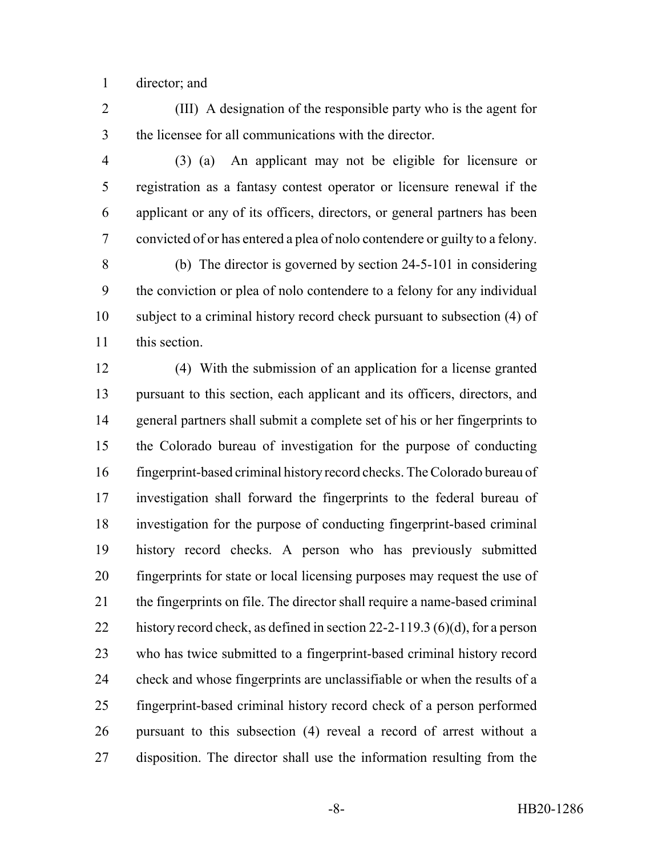director; and

 (III) A designation of the responsible party who is the agent for the licensee for all communications with the director.

 (3) (a) An applicant may not be eligible for licensure or registration as a fantasy contest operator or licensure renewal if the applicant or any of its officers, directors, or general partners has been convicted of or has entered a plea of nolo contendere or guilty to a felony.

 (b) The director is governed by section 24-5-101 in considering the conviction or plea of nolo contendere to a felony for any individual subject to a criminal history record check pursuant to subsection (4) of this section.

 (4) With the submission of an application for a license granted pursuant to this section, each applicant and its officers, directors, and general partners shall submit a complete set of his or her fingerprints to the Colorado bureau of investigation for the purpose of conducting fingerprint-based criminal history record checks. The Colorado bureau of investigation shall forward the fingerprints to the federal bureau of investigation for the purpose of conducting fingerprint-based criminal history record checks. A person who has previously submitted fingerprints for state or local licensing purposes may request the use of the fingerprints on file. The director shall require a name-based criminal history record check, as defined in section 22-2-119.3 (6)(d), for a person who has twice submitted to a fingerprint-based criminal history record check and whose fingerprints are unclassifiable or when the results of a fingerprint-based criminal history record check of a person performed pursuant to this subsection (4) reveal a record of arrest without a disposition. The director shall use the information resulting from the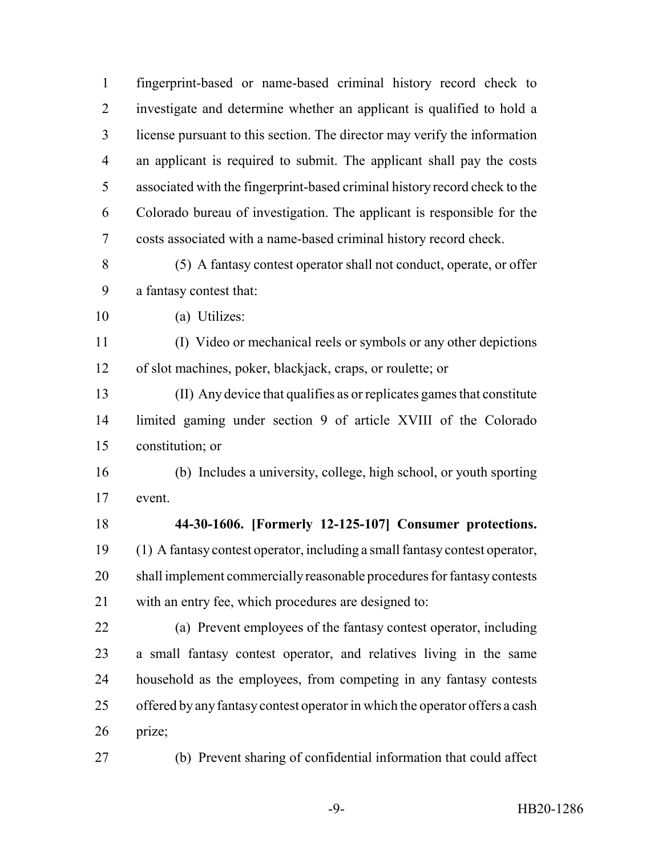fingerprint-based or name-based criminal history record check to investigate and determine whether an applicant is qualified to hold a license pursuant to this section. The director may verify the information an applicant is required to submit. The applicant shall pay the costs associated with the fingerprint-based criminal history record check to the Colorado bureau of investigation. The applicant is responsible for the costs associated with a name-based criminal history record check.

- (5) A fantasy contest operator shall not conduct, operate, or offer a fantasy contest that:
- (a) Utilizes:

 (I) Video or mechanical reels or symbols or any other depictions of slot machines, poker, blackjack, craps, or roulette; or

 (II) Any device that qualifies as or replicates games that constitute limited gaming under section 9 of article XVIII of the Colorado constitution; or

 (b) Includes a university, college, high school, or youth sporting event.

 **44-30-1606. [Formerly 12-125-107] Consumer protections.** (1) A fantasy contest operator, including a small fantasy contest operator, shall implement commercially reasonable procedures for fantasy contests with an entry fee, which procedures are designed to:

 (a) Prevent employees of the fantasy contest operator, including a small fantasy contest operator, and relatives living in the same household as the employees, from competing in any fantasy contests offered by any fantasy contest operator in which the operator offers a cash prize;

(b) Prevent sharing of confidential information that could affect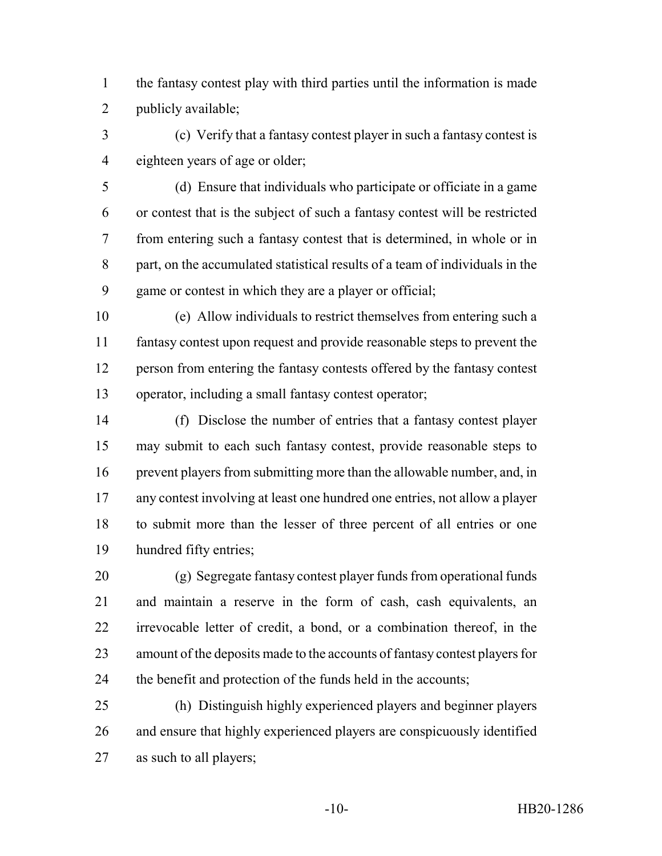the fantasy contest play with third parties until the information is made publicly available;

 (c) Verify that a fantasy contest player in such a fantasy contest is eighteen years of age or older;

 (d) Ensure that individuals who participate or officiate in a game or contest that is the subject of such a fantasy contest will be restricted from entering such a fantasy contest that is determined, in whole or in part, on the accumulated statistical results of a team of individuals in the game or contest in which they are a player or official;

 (e) Allow individuals to restrict themselves from entering such a fantasy contest upon request and provide reasonable steps to prevent the person from entering the fantasy contests offered by the fantasy contest operator, including a small fantasy contest operator;

 (f) Disclose the number of entries that a fantasy contest player may submit to each such fantasy contest, provide reasonable steps to prevent players from submitting more than the allowable number, and, in any contest involving at least one hundred one entries, not allow a player to submit more than the lesser of three percent of all entries or one hundred fifty entries;

 (g) Segregate fantasy contest player funds from operational funds and maintain a reserve in the form of cash, cash equivalents, an irrevocable letter of credit, a bond, or a combination thereof, in the amount of the deposits made to the accounts of fantasy contest players for the benefit and protection of the funds held in the accounts;

 (h) Distinguish highly experienced players and beginner players and ensure that highly experienced players are conspicuously identified as such to all players;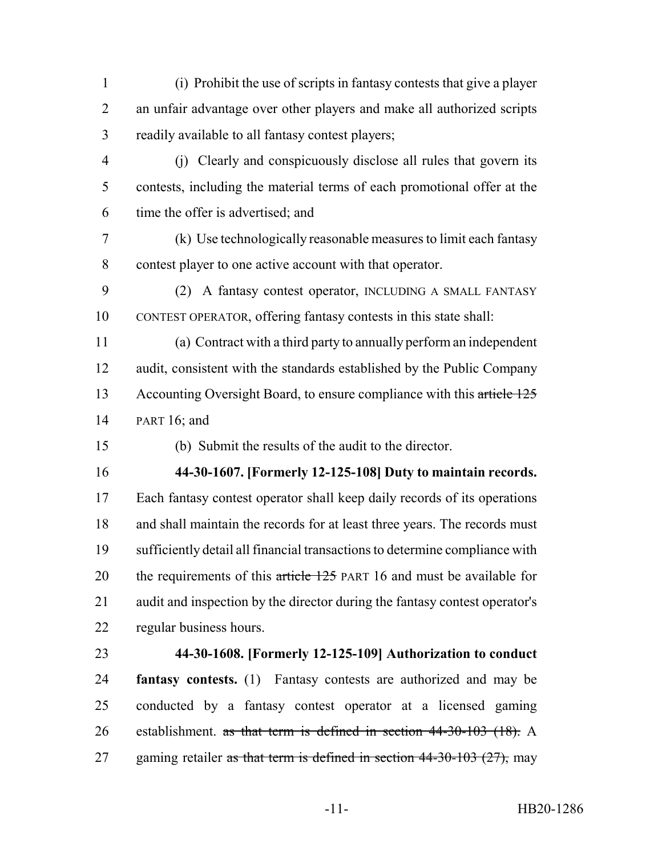- (i) Prohibit the use of scripts in fantasy contests that give a player an unfair advantage over other players and make all authorized scripts readily available to all fantasy contest players;
- (j) Clearly and conspicuously disclose all rules that govern its contests, including the material terms of each promotional offer at the time the offer is advertised; and
- (k) Use technologically reasonable measures to limit each fantasy contest player to one active account with that operator.
- (2) A fantasy contest operator, INCLUDING A SMALL FANTASY CONTEST OPERATOR, offering fantasy contests in this state shall:
- (a) Contract with a third party to annually perform an independent audit, consistent with the standards established by the Public Company 13 Accounting Oversight Board, to ensure compliance with this article 125 PART 16; and
- 
- (b) Submit the results of the audit to the director.

**44-30-1607. [Formerly 12-125-108] Duty to maintain records.**

 Each fantasy contest operator shall keep daily records of its operations and shall maintain the records for at least three years. The records must sufficiently detail all financial transactions to determine compliance with 20 the requirements of this article 125 PART 16 and must be available for audit and inspection by the director during the fantasy contest operator's regular business hours.

# **44-30-1608. [Formerly 12-125-109] Authorization to conduct**

 **fantasy contests.** (1) Fantasy contests are authorized and may be conducted by a fantasy contest operator at a licensed gaming establishment. as that term is defined in section 44-30-103 (18). A 27 gaming retailer as that term is defined in section  $44-30-103$  (27), may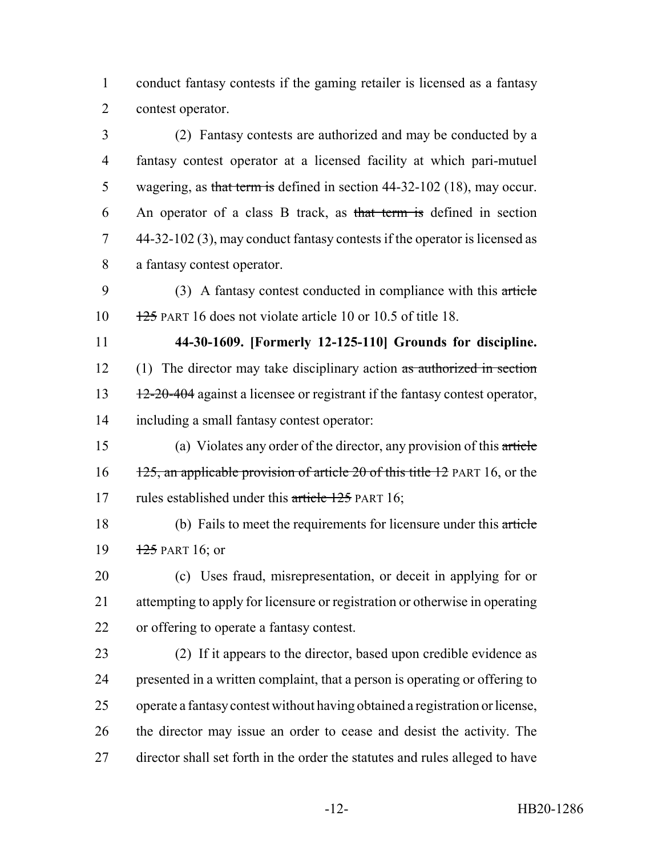conduct fantasy contests if the gaming retailer is licensed as a fantasy contest operator.

 (2) Fantasy contests are authorized and may be conducted by a fantasy contest operator at a licensed facility at which pari-mutuel 5 wagering, as that term is defined in section 44-32-102 (18), may occur. An operator of a class B track, as that term is defined in section 44-32-102 (3), may conduct fantasy contests if the operator is licensed as a fantasy contest operator.

 (3) A fantasy contest conducted in compliance with this article 125 PART 16 does not violate article 10 or 10.5 of title 18.

 **44-30-1609. [Formerly 12-125-110] Grounds for discipline.** 12 (1) The director may take disciplinary action as authorized in section

13 12-20-404 against a licensee or registrant if the fantasy contest operator, including a small fantasy contest operator:

 (a) Violates any order of the director, any provision of this article 16 125, an applicable provision of article 20 of this title 12 PART 16, or the 17 rules established under this article 125 PART 16;

 (b) Fails to meet the requirements for licensure under this article 19 PART 16; or

 (c) Uses fraud, misrepresentation, or deceit in applying for or attempting to apply for licensure or registration or otherwise in operating or offering to operate a fantasy contest.

 (2) If it appears to the director, based upon credible evidence as presented in a written complaint, that a person is operating or offering to operate a fantasy contest without having obtained a registration or license, the director may issue an order to cease and desist the activity. The director shall set forth in the order the statutes and rules alleged to have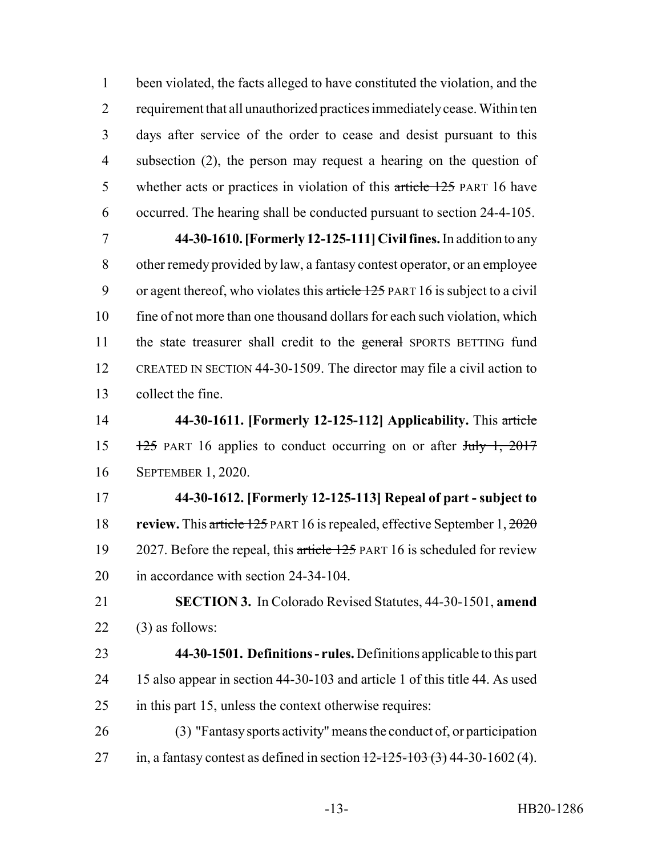been violated, the facts alleged to have constituted the violation, and the requirement that all unauthorized practices immediately cease. Within ten days after service of the order to cease and desist pursuant to this subsection (2), the person may request a hearing on the question of 5 whether acts or practices in violation of this article 125 PART 16 have occurred. The hearing shall be conducted pursuant to section 24-4-105.

 **44-30-1610. [Formerly 12-125-111] Civil fines.** In addition to any other remedy provided by law, a fantasy contest operator, or an employee 9 or agent thereof, who violates this article 125 PART 16 is subject to a civil fine of not more than one thousand dollars for each such violation, which 11 the state treasurer shall credit to the general SPORTS BETTING fund CREATED IN SECTION 44-30-1509. The director may file a civil action to collect the fine.

 **44-30-1611. [Formerly 12-125-112] Applicability.** This article 15 125 PART 16 applies to conduct occurring on or after  $\frac{\text{H}_y}{\text{H}_y}$  1, 2017 SEPTEMBER 1, 2020.

 **44-30-1612. [Formerly 12-125-113] Repeal of part - subject to review.** This article 125 PART 16 is repealed, effective September 1, 2020 19 2027. Before the repeal, this article 125 PART 16 is scheduled for review in accordance with section 24-34-104.

 **SECTION 3.** In Colorado Revised Statutes, 44-30-1501, **amend** (3) as follows:

- **44-30-1501. Definitions rules.** Definitions applicable to this part 15 also appear in section 44-30-103 and article 1 of this title 44. As used in this part 15, unless the context otherwise requires:
- (3) "Fantasy sports activity" means the conduct of, or participation 27 in, a fantasy contest as defined in section  $12 - 125 - 103$  (3) 44-30-1602 (4).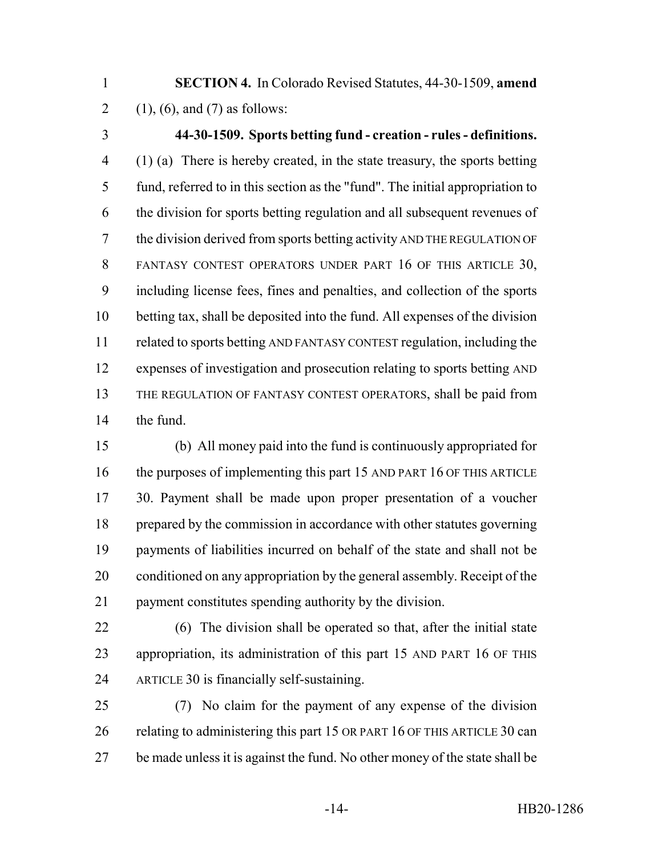- **SECTION 4.** In Colorado Revised Statutes, 44-30-1509, **amend** 2 (1), (6), and (7) as follows:
- 

# **44-30-1509. Sports betting fund - creation - rules - definitions.**

 (1) (a) There is hereby created, in the state treasury, the sports betting fund, referred to in this section as the "fund". The initial appropriation to the division for sports betting regulation and all subsequent revenues of the division derived from sports betting activity AND THE REGULATION OF FANTASY CONTEST OPERATORS UNDER PART 16 OF THIS ARTICLE 30, including license fees, fines and penalties, and collection of the sports betting tax, shall be deposited into the fund. All expenses of the division related to sports betting AND FANTASY CONTEST regulation, including the expenses of investigation and prosecution relating to sports betting AND THE REGULATION OF FANTASY CONTEST OPERATORS, shall be paid from the fund.

 (b) All money paid into the fund is continuously appropriated for the purposes of implementing this part 15 AND PART 16 OF THIS ARTICLE 30. Payment shall be made upon proper presentation of a voucher prepared by the commission in accordance with other statutes governing payments of liabilities incurred on behalf of the state and shall not be conditioned on any appropriation by the general assembly. Receipt of the payment constitutes spending authority by the division.

 (6) The division shall be operated so that, after the initial state appropriation, its administration of this part 15 AND PART 16 OF THIS ARTICLE 30 is financially self-sustaining.

 (7) No claim for the payment of any expense of the division 26 relating to administering this part 15 OR PART 16 OF THIS ARTICLE 30 can be made unless it is against the fund. No other money of the state shall be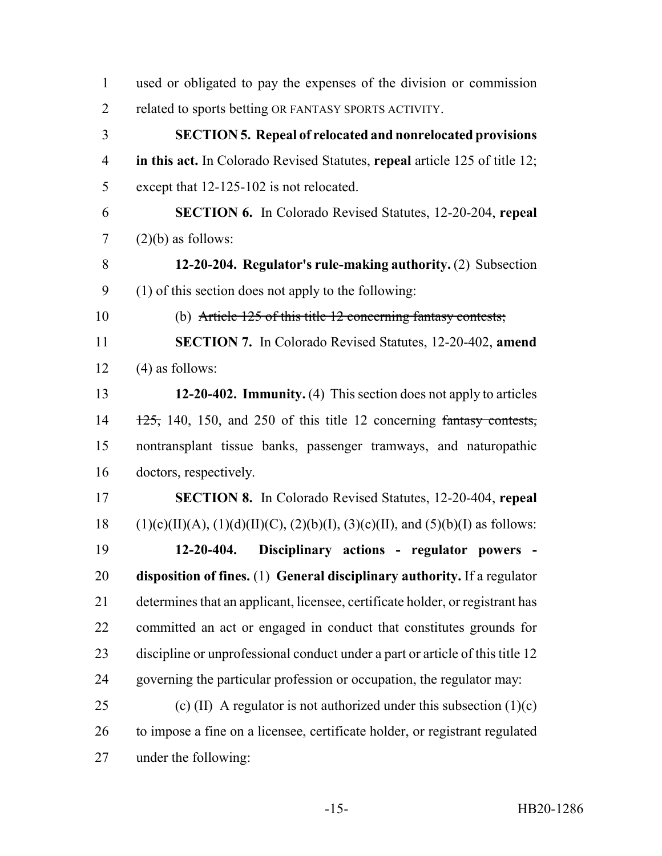used or obligated to pay the expenses of the division or commission related to sports betting OR FANTASY SPORTS ACTIVITY. **SECTION 5. Repeal of relocated and nonrelocated provisions in this act.** In Colorado Revised Statutes, **repeal** article 125 of title 12; except that 12-125-102 is not relocated. **SECTION 6.** In Colorado Revised Statutes, 12-20-204, **repeal** (2)(b) as follows: **12-20-204. Regulator's rule-making authority.** (2) Subsection (1) of this section does not apply to the following: (b) Article 125 of this title 12 concerning fantasy contests; **SECTION 7.** In Colorado Revised Statutes, 12-20-402, **amend**  $(4)$  as follows: **12-20-402. Immunity.** (4) This section does not apply to articles  $14 \frac{125}{125}$ , 140, 150, and 250 of this title 12 concerning fantasy contests, nontransplant tissue banks, passenger tramways, and naturopathic doctors, respectively. **SECTION 8.** In Colorado Revised Statutes, 12-20-404, **repeal** 18 (1)(c)(II)(A), (1)(d)(II)(C), (2)(b)(I), (3)(c)(II), and (5)(b)(I) as follows: **12-20-404. Disciplinary actions - regulator powers - disposition of fines.** (1) **General disciplinary authority.** If a regulator determines that an applicant, licensee, certificate holder, or registrant has committed an act or engaged in conduct that constitutes grounds for discipline or unprofessional conduct under a part or article of this title 12 governing the particular profession or occupation, the regulator may: 25 (c) (II) A regulator is not authorized under this subsection  $(1)(c)$  to impose a fine on a licensee, certificate holder, or registrant regulated under the following: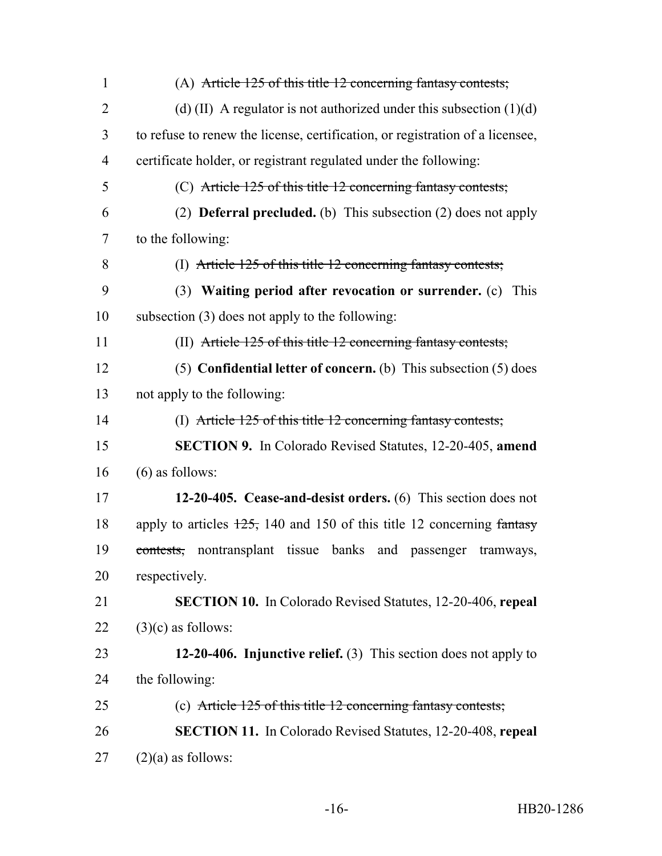| $\mathbf{1}$   | (A) Article $125$ of this title 12 concerning fantasy contests;                       |
|----------------|---------------------------------------------------------------------------------------|
| $\overline{2}$ | (d) (II) A regulator is not authorized under this subsection $(1)(d)$                 |
| 3              | to refuse to renew the license, certification, or registration of a licensee,         |
| $\overline{4}$ | certificate holder, or registrant regulated under the following:                      |
| 5              | (C) Article 125 of this title 12 concerning fantasy contests;                         |
| 6              | (2) <b>Deferral precluded.</b> (b) This subsection $(2)$ does not apply               |
| $\tau$         | to the following:                                                                     |
| 8              | (I) Article 125 of this title 12 concerning fantasy contests;                         |
| 9              | (3) Waiting period after revocation or surrender. (c) This                            |
| 10             | subsection (3) does not apply to the following:                                       |
| 11             | (II) Article 125 of this title 12 concerning fantasy contests;                        |
| 12             | (5) Confidential letter of concern. (b) This subsection $(5)$ does                    |
| 13             | not apply to the following:                                                           |
| 14             | (I) Article 125 of this title 12 concerning fantasy contests;                         |
| 15             | <b>SECTION 9.</b> In Colorado Revised Statutes, 12-20-405, amend                      |
| 16             | $(6)$ as follows:                                                                     |
| 17             | 12-20-405. Cease-and-desist orders. (6) This section does not                         |
| 18             | apply to articles $\frac{125}{120}$ , 140 and 150 of this title 12 concerning fantasy |
| 19             | contests, nontransplant tissue banks and passenger<br>tramways,                       |
| 20             | respectively.                                                                         |
| 21             | <b>SECTION 10.</b> In Colorado Revised Statutes, 12-20-406, repeal                    |
| 22             | $(3)(c)$ as follows:                                                                  |
| 23             | 12-20-406. Injunctive relief. $(3)$ This section does not apply to                    |
| 24             | the following:                                                                        |
| 25             | (c) Article $125$ of this title 12 concerning fantasy contests;                       |
| 26             | <b>SECTION 11.</b> In Colorado Revised Statutes, 12-20-408, repeal                    |
| 27             | $(2)(a)$ as follows:                                                                  |